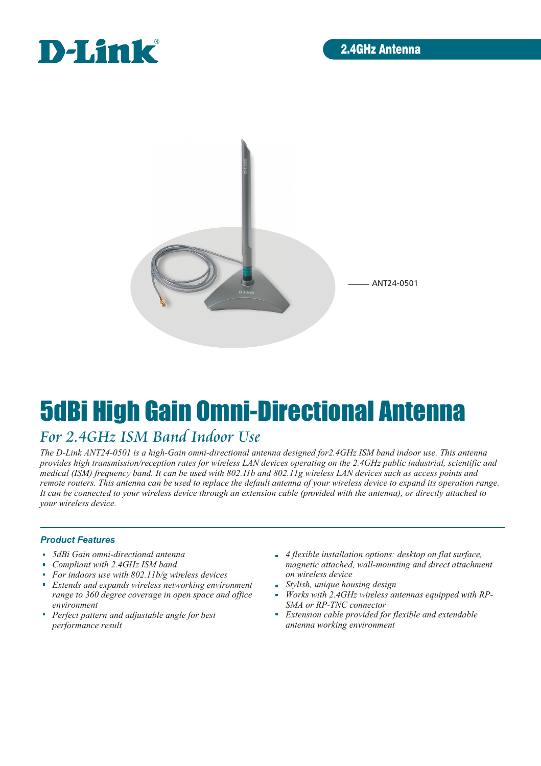



# 5dBi High Gain Omni-Directional Antenna

## *For 2.4GHz ISM Band Indoor Use*

*The D-Link ANT24-0501 is a high-Gain omni-directional antenna designed for2.4GHz ISM band indoor use. This antenna provides high transmission/reception rates for wireless LAN devices operating on the 2.4GHz public industrial, scientific and medical (ISM) frequency band. It can be used with 802.11b and 802.11g wireless LAN devices such as access points and remote routers. This antenna can be used to replace the default antenna of your wireless device to expand its operation range. It can be connected to your wireless device through an extension cable (provided with the antenna), or directly attached to your wireless device.*

#### *Product Features*

- *5dBi Gain omni-directional antenna*
- *Compliant with 2.4GHz ISM band*
- ú. *For indoors use with 802.11b/g wireless devices*
- ú. *Extends and expands wireless networking environment range to 360 degree coverage in open space and office environment*
- *Perfect pattern and adjustable angle for best performance result*
- *4 flexible installation options: desktop on flat surface, magnetic attached, wall-mounting and direct attachment on wireless device*
- *Stylish, unique housing design*
- *Works with 2.4GHz wireless antennas equipped with RP-SMA or RP-TNC connector*
- *Extension cable provided for flexible and extendable antenna working environment*